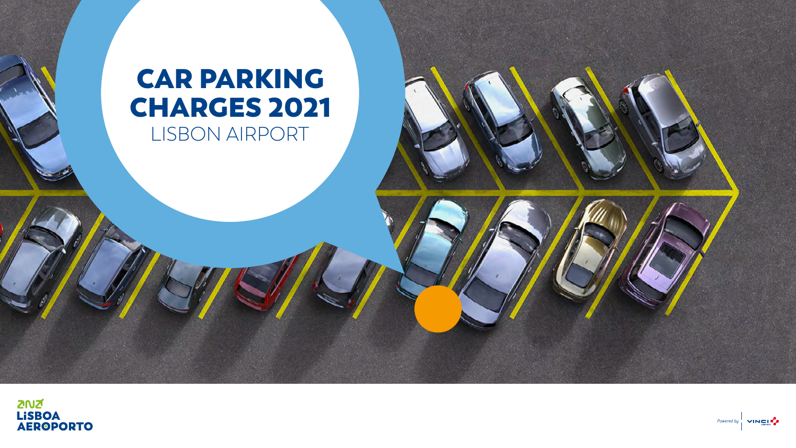**ZNZ** 

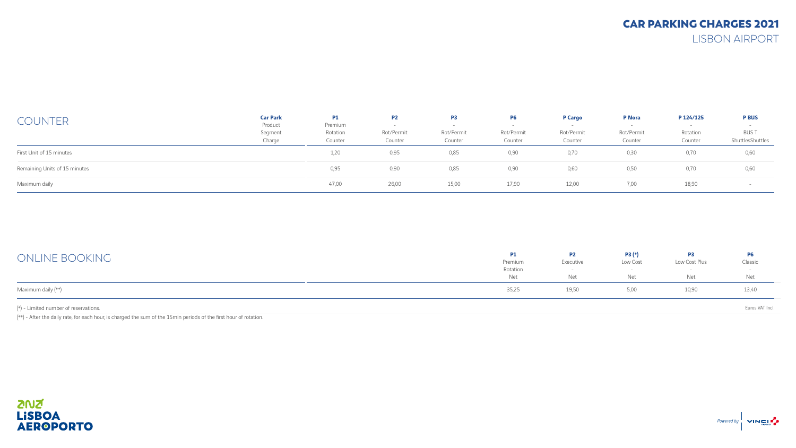| <b>COUNTER</b>                | <b>Car Park</b><br>Product | P1<br>Premium       | <b>P2</b>             | P3                    | <b>P6</b>             | <b>P</b> Cargo        | <b>P</b> Nora         | P 124/125           | <b>P BUS</b>                    |
|-------------------------------|----------------------------|---------------------|-----------------------|-----------------------|-----------------------|-----------------------|-----------------------|---------------------|---------------------------------|
|                               | Segment<br>Charge          | Rotation<br>Counter | Rot/Permit<br>Counter | Rot/Permit<br>Counter | Rot/Permit<br>Counter | Rot/Permit<br>Counter | Rot/Permit<br>Counter | Rotation<br>Counter | <b>BUST</b><br>ShuttlesShuttles |
| First Unit of 15 minutes      |                            | 1,20                | 0,95                  | 0,85                  | 0,90                  | 0,70                  | 0,30                  | 0,70                | 0,60                            |
| Remaining Units of 15 minutes |                            | 0,95                | 0,90                  | 0,85                  | 0,90                  | 0,60                  | 0,50                  | 0,70                | 0,60                            |
| Maximum daily                 |                            | 47,00               | 26,00                 | 15,00                 | 17,90                 | 12,00                 | 7,00                  | 18,90               |                                 |

| ONLINE BOOKING                        | <b>P1</b><br>Premium | <b>P2</b><br>Executive | $P3(*)$<br>Low Cost | P <sub>3</sub><br>Low Cost Plus | <b>P6</b><br>Classic |
|---------------------------------------|----------------------|------------------------|---------------------|---------------------------------|----------------------|
|                                       | Rotation<br>Net      | Net                    | Net                 | Net                             | Net                  |
| Maximum daily (**)                    | 35,25                | 19,50                  | 5,00                | 10,90                           | 13,40                |
| (*) - Limited number of reservations. |                      |                        |                     |                                 | Euros VAT Incl.      |

 $(**)$  - After the daily rate, for each hour, is charged the sum of the 15min periods of the first hour of rotation.

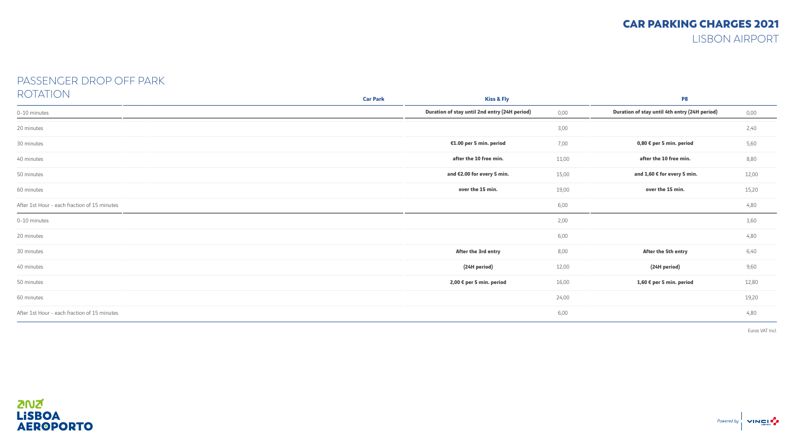#### PASSENGER DROP OFF PARK ROTATION

| $\sqrt{2}$                                   | <b>Car Park</b> | <b>Kiss &amp; Fly</b>                         |       | P <sub>8</sub>                                |       |  |  |
|----------------------------------------------|-----------------|-----------------------------------------------|-------|-----------------------------------------------|-------|--|--|
| 0-10 minutes                                 |                 | Duration of stay until 2nd entry (24H period) | 0,00  | Duration of stay until 4th entry (24H period) | 0,00  |  |  |
| 20 minutes                                   |                 |                                               | 3,00  |                                               | 2,40  |  |  |
| 30 minutes                                   |                 | €1.00 per 5 min. period                       | 7,00  | 0,80 € per 5 min. period                      | 5,60  |  |  |
| 40 minutes                                   |                 | after the 10 free min.                        | 11,00 | after the 10 free min.                        | 8,80  |  |  |
| 50 minutes                                   |                 | and €2.00 for every 5 min.                    | 15,00 | and 1,60 € for every 5 min.                   | 12,00 |  |  |
| 60 minutes                                   |                 | over the 15 min.                              | 19,00 | over the 15 min.                              | 15,20 |  |  |
| After 1st Hour - each fraction of 15 minutes |                 |                                               | 6,00  |                                               | 4,80  |  |  |
| 0-10 minutes                                 |                 |                                               | 2,00  |                                               | 1,60  |  |  |
| 20 minutes                                   |                 |                                               | 6,00  |                                               | 4,80  |  |  |
| 30 minutes                                   |                 | After the 3rd entry                           | 8,00  | After the 5th entry                           | 6,40  |  |  |
| 40 minutes                                   |                 | (24H period)                                  | 12,00 | (24H period)                                  | 9,60  |  |  |
| 50 minutes                                   |                 | 2,00 € per 5 min. period                      | 16,00 | 1,60 € per 5 min. period                      | 12,80 |  |  |
| 60 minutes                                   |                 |                                               | 24,00 |                                               | 19,20 |  |  |
| After 1st Hour - each fraction of 15 minutes |                 |                                               | 6,00  |                                               | 4,80  |  |  |

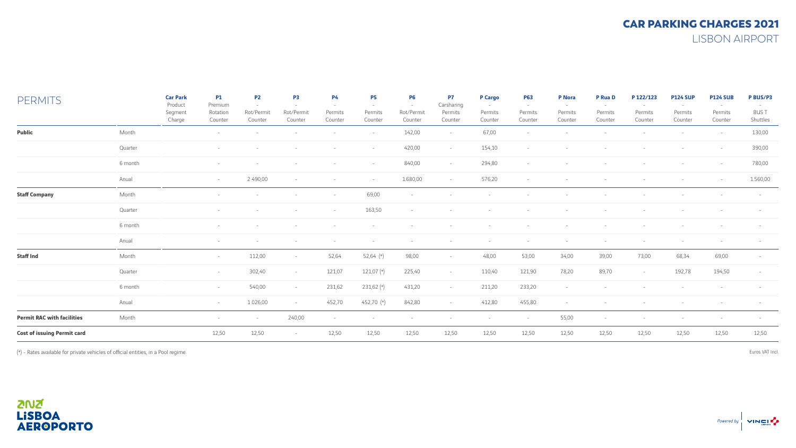| <b>PERMITS</b>                     |         | <b>Car Park</b><br>Product<br>Segment<br>Charge | <b>P1</b><br>Premium<br>Rotation<br>Counter | P <sub>2</sub><br>Rot/Permit<br>Counter | P <sub>3</sub><br>Rot/Permit<br>Counter | <b>P4</b><br><b>COL</b><br>Permits<br>Counter | <b>P5</b><br>$\sim$<br>Permits<br>Counter | <b>P6</b><br>$\overline{a}$<br>Rot/Permit<br>Counter | P7<br>Carsharing<br>Permits<br>Counter | <b>P</b> Cargo<br>$\sim$<br>Permits<br>Counter | <b>P63</b><br>$\sim$<br>Permits<br>Counter | <b>P</b> Nora<br>$\overline{\phantom{a}}$<br>Permits<br>Counter | P Rua D<br>Permits<br>Counter | P 122/123<br>Permits<br>Counter | <b>P124 SUP</b><br>Permits<br>Counter | <b>P124 SUB</b><br>Permits<br>Counter | P BUS/P3<br><b>BUST</b><br>Shuttles |
|------------------------------------|---------|-------------------------------------------------|---------------------------------------------|-----------------------------------------|-----------------------------------------|-----------------------------------------------|-------------------------------------------|------------------------------------------------------|----------------------------------------|------------------------------------------------|--------------------------------------------|-----------------------------------------------------------------|-------------------------------|---------------------------------|---------------------------------------|---------------------------------------|-------------------------------------|
| Public                             | Month   |                                                 |                                             |                                         |                                         |                                               | $\sim$                                    | 142,00                                               | $\sim$                                 | 67,00                                          | $\overline{\phantom{a}}$                   |                                                                 |                               |                                 |                                       | $\sim$                                | 130,00                              |
|                                    | Quarter |                                                 |                                             |                                         |                                         |                                               | $\sim$                                    | 420,00                                               | $\sim$                                 | 154,10                                         | $\sim$                                     |                                                                 |                               |                                 |                                       | $\sim$                                | 390,00                              |
|                                    | 6 month |                                                 |                                             |                                         |                                         |                                               | $\sim$                                    | 840,00                                               | $\sim$                                 | 294,80                                         | $\sim$                                     |                                                                 |                               |                                 |                                       | $\sim$                                | 780,00                              |
|                                    | Anual   |                                                 | $\sim$                                      | 2 490,00                                | $\sim$                                  | $\sim$                                        | $\sim$                                    | 1.680,00                                             | $\sim$                                 | 576,20                                         | $\sim$                                     |                                                                 |                               |                                 |                                       | $\sim$                                | 1.560,00                            |
| <b>Staff Company</b>               | Month   |                                                 |                                             |                                         |                                         | $\sim$                                        | 69,00                                     |                                                      |                                        |                                                |                                            |                                                                 |                               |                                 |                                       |                                       |                                     |
|                                    | Quarter |                                                 |                                             |                                         |                                         | $\sim$                                        | 163,50                                    | $\overline{a}$                                       |                                        |                                                |                                            |                                                                 |                               |                                 |                                       |                                       |                                     |
|                                    | 6 month |                                                 |                                             |                                         |                                         |                                               |                                           |                                                      |                                        |                                                |                                            |                                                                 |                               |                                 |                                       |                                       |                                     |
|                                    | Anual   |                                                 |                                             |                                         |                                         |                                               |                                           |                                                      |                                        |                                                |                                            |                                                                 |                               |                                 |                                       |                                       |                                     |
| <b>Staff Ind</b>                   | Month   |                                                 | $ \,$                                       | 112,00                                  | $\overline{\phantom{a}}$                | 52,64                                         | $52,64$ $(*)$                             | 98,00                                                | $\sim$                                 | 48,00                                          | 53,00                                      | 34,00                                                           | 39,00                         | 73,00                           | 68,34                                 | 69,00                                 |                                     |
|                                    | Quarter |                                                 | $\sim$                                      | 302,40                                  | $\sim$                                  | 121,07                                        | 121,07 (*)                                | 225,40                                               | $-$                                    | 110,40                                         | 121,90                                     | 78,20                                                           | 89,70                         | $\sim$                          | 192,78                                | 194,50                                | $\sim$                              |
|                                    | 6 month |                                                 | $\sim$                                      | 540,00                                  | $\sim$                                  | 231,62                                        | 231,62 (*)                                | 431,20                                               | $\sim$                                 | 211,20                                         | 233,20                                     | $\sim$                                                          |                               |                                 |                                       |                                       |                                     |
|                                    | Anual   |                                                 | $\sim$                                      | 1 0 2 6,00                              | $\sim$                                  | 452,70                                        | 452,70 (*)                                | 842,80                                               | $\sim$                                 | 412,80                                         | 455,80                                     | $\sim$                                                          |                               |                                 |                                       |                                       |                                     |
| <b>Permit RAC with facilities</b>  | Month   |                                                 |                                             | $\sim$                                  | 240,00                                  | $\sim$                                        | $\sim$                                    |                                                      |                                        | $\sim$                                         | $\sim$                                     | 55,00                                                           |                               | $\sim$                          | $\sim$                                |                                       |                                     |
| <b>Cost of issuing Permit card</b> |         |                                                 | 12,50                                       | 12,50                                   | $\overline{\phantom{a}}$                | 12,50                                         | 12,50                                     | 12,50                                                | 12,50                                  | 12,50                                          | 12,50                                      | 12,50                                                           | 12,50                         | 12,50                           | 12,50                                 | 12,50                                 | 12,50                               |

(\*) - Rates available for private vehicles of official entities, in a Pool regime.

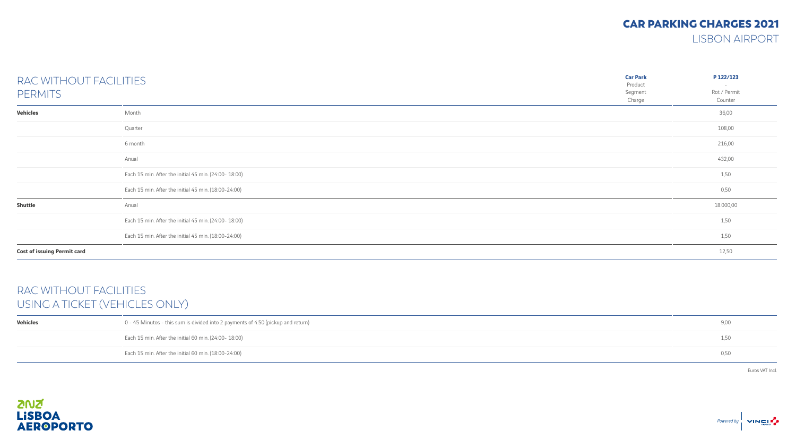## CAR PARKING CHARGES 2021

LISBON AIRPORT

| RAC WITHOUT FACILITIES<br><b>PERMITS</b> |                                                       | <b>Car Park</b><br>Product<br>Segment<br>Charge | P 122/123<br>Rot / Permit<br>Counter |
|------------------------------------------|-------------------------------------------------------|-------------------------------------------------|--------------------------------------|
| <b>Vehicles</b>                          | Month                                                 |                                                 | 36,00                                |
|                                          | Quarter                                               |                                                 | 108,00                               |
|                                          | 6 month                                               |                                                 | 216,00                               |
|                                          | Anual                                                 |                                                 | 432,00                               |
|                                          | Each 15 min. After the initial 45 min. (24:00- 18:00) |                                                 | 1,50                                 |
|                                          | Each 15 min. After the initial 45 min. (18:00-24:00)  |                                                 | 0,50                                 |
| <b>Shuttle</b>                           | Anual                                                 |                                                 | 18.000,00                            |
|                                          | Each 15 min. After the initial 45 min. (24:00- 18:00) |                                                 | 1,50                                 |
|                                          | Each 15 min. After the initial 45 min. (18:00-24:00)  |                                                 | 1,50                                 |
| <b>Cost of issuing Permit card</b>       |                                                       |                                                 | 12,50                                |

## RAC WITHOUT FACILITIES USING A TICKET (VEHICLES ONLY)

| Vehicles | 0 - 45 Minutos - this sum is divided into 2 payments of 4.50 (pickup and return) | 9,00 |
|----------|----------------------------------------------------------------------------------|------|
|          | Each 15 min. After the initial 60 min. (24:00- 18:00)                            | 1,50 |
|          | Each 15 min. After the initial 60 min. (18:00-24:00)                             | 0,50 |